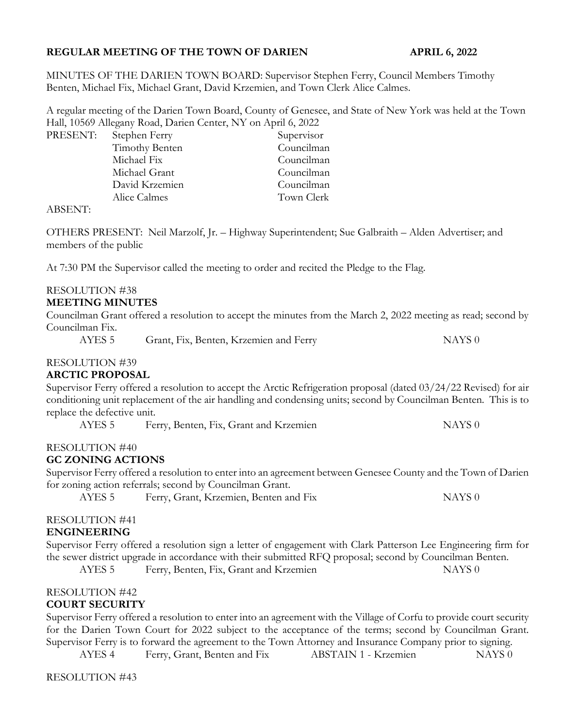# REGULAR MEETING OF THE TOWN OF DARIEN APRIL 6, 2022

MINUTES OF THE DARIEN TOWN BOARD: Supervisor Stephen Ferry, Council Members Timothy Benten, Michael Fix, Michael Grant, David Krzemien, and Town Clerk Alice Calmes.

A regular meeting of the Darien Town Board, County of Genesee, and State of New York was held at the Town Hall, 10569 Allegany Road, Darien Center, NY on April 6, 2022

PRESENT: Stephen Ferry Supervisor

Timothy Benten Councilman Michael Fix Councilman Michael Grant Councilman David Krzemien Councilman Alice Calmes Town Clerk

ABSENT:

OTHERS PRESENT: Neil Marzolf, Jr. – Highway Superintendent; Sue Galbraith – Alden Advertiser; and members of the public

At 7:30 PM the Supervisor called the meeting to order and recited the Pledge to the Flag.

# RESOLUTION #38

#### MEETING MINUTES

Councilman Grant offered a resolution to accept the minutes from the March 2, 2022 meeting as read; second by Councilman Fix.

AYES 5 Grant, Fix, Benten, Krzemien and Ferry NAYS 0

#### RESOLUTION #39

#### ARCTIC PROPOSAL

Supervisor Ferry offered a resolution to accept the Arctic Refrigeration proposal (dated 03/24/22 Revised) for air conditioning unit replacement of the air handling and condensing units; second by Councilman Benten. This is to replace the defective unit.

AYES 5 Ferry, Benten, Fix, Grant and Krzemien NAYS 0

#### RESOLUTION #40

#### GC ZONING ACTIONS

Supervisor Ferry offered a resolution to enter into an agreement between Genesee County and the Town of Darien for zoning action referrals; second by Councilman Grant.

AYES 5 Ferry, Grant, Krzemien, Benten and Fix NAYS 0

# RESOLUTION #41

#### ENGINEERING

Supervisor Ferry offered a resolution sign a letter of engagement with Clark Patterson Lee Engineering firm for the sewer district upgrade in accordance with their submitted RFQ proposal; second by Councilman Benten.

AYES 5 Ferry, Benten, Fix, Grant and Krzemien NAYS 0

# RESOLUTION #42

# COURT SECURITY

Supervisor Ferry offered a resolution to enter into an agreement with the Village of Corfu to provide court security for the Darien Town Court for 2022 subject to the acceptance of the terms; second by Councilman Grant. Supervisor Ferry is to forward the agreement to the Town Attorney and Insurance Company prior to signing.

AYES 4 Ferry, Grant, Benten and Fix ABSTAIN 1 - Krzemien NAYS 0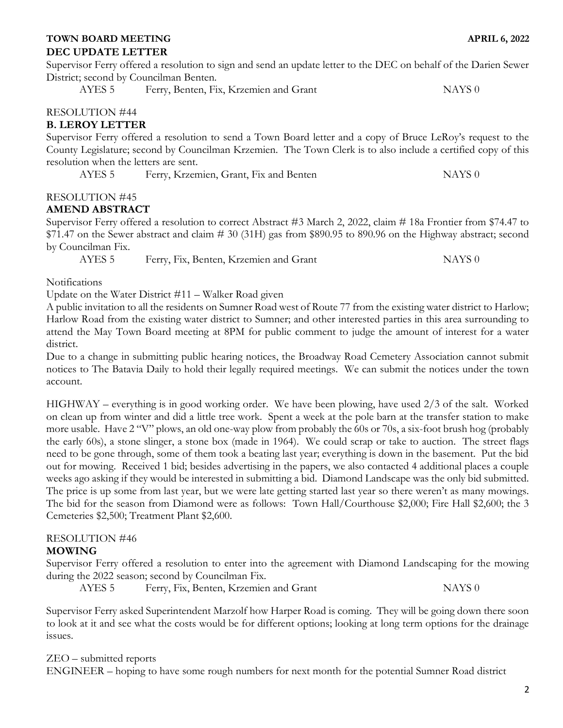# DEC UPDATE LETTER

Supervisor Ferry offered a resolution to sign and send an update letter to the DEC on behalf of the Darien Sewer District; second by Councilman Benten.

AYES 5 Ferry, Benten, Fix, Krzemien and Grant 1997 MAYS 0

# RESOLUTION #44

# B. LEROY LETTER

Supervisor Ferry offered a resolution to send a Town Board letter and a copy of Bruce LeRoy's request to the County Legislature; second by Councilman Krzemien. The Town Clerk is to also include a certified copy of this resolution when the letters are sent.

AYES 5 Ferry, Krzemien, Grant, Fix and Benten NAYS 0

# RESOLUTION #45

# AMEND ABSTRACT

Supervisor Ferry offered a resolution to correct Abstract #3 March 2, 2022, claim # 18a Frontier from \$74.47 to \$71.47 on the Sewer abstract and claim # 30 (31H) gas from \$890.95 to 890.96 on the Highway abstract; second by Councilman Fix.

AYES 5 Ferry, Fix, Benten, Krzemien and Grant 1997 MAYS 0

Notifications

Update on the Water District #11 – Walker Road given

A public invitation to all the residents on Sumner Road west of Route 77 from the existing water district to Harlow; Harlow Road from the existing water district to Sumner; and other interested parties in this area surrounding to attend the May Town Board meeting at 8PM for public comment to judge the amount of interest for a water district.

Due to a change in submitting public hearing notices, the Broadway Road Cemetery Association cannot submit notices to The Batavia Daily to hold their legally required meetings. We can submit the notices under the town account.

HIGHWAY – everything is in good working order. We have been plowing, have used 2/3 of the salt. Worked on clean up from winter and did a little tree work. Spent a week at the pole barn at the transfer station to make more usable. Have 2 "V" plows, an old one-way plow from probably the 60s or 70s, a six-foot brush hog (probably the early 60s), a stone slinger, a stone box (made in 1964). We could scrap or take to auction. The street flags need to be gone through, some of them took a beating last year; everything is down in the basement. Put the bid out for mowing. Received 1 bid; besides advertising in the papers, we also contacted 4 additional places a couple weeks ago asking if they would be interested in submitting a bid. Diamond Landscape was the only bid submitted. The price is up some from last year, but we were late getting started last year so there weren't as many mowings. The bid for the season from Diamond were as follows: Town Hall/Courthouse \$2,000; Fire Hall \$2,600; the 3 Cemeteries \$2,500; Treatment Plant \$2,600.

#### RESOLUTION #46 MOWING

Supervisor Ferry offered a resolution to enter into the agreement with Diamond Landscaping for the mowing during the 2022 season; second by Councilman Fix.

AYES 5 Ferry, Fix, Benten, Krzemien and Grant NAYS 0

Supervisor Ferry asked Superintendent Marzolf how Harper Road is coming. They will be going down there soon to look at it and see what the costs would be for different options; looking at long term options for the drainage issues.

ZEO – submitted reports

ENGINEER – hoping to have some rough numbers for next month for the potential Sumner Road district